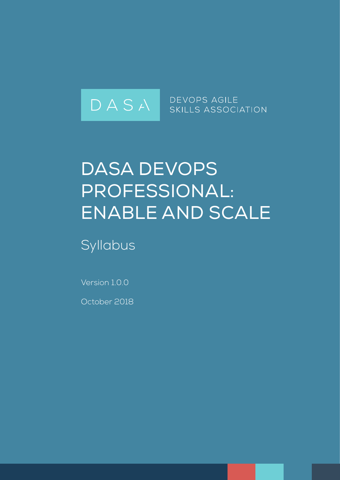

# DASA DEVOPS Professional: Enable and Scale

**Syllabus** 

Version 1.0.0

October 2018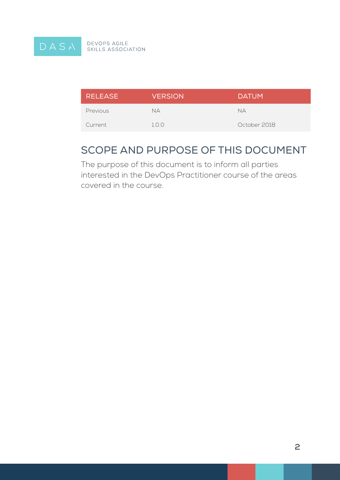

DEVOPS AGILE<br>SKILLS ASSOCIATION

| <b>RELEASE</b> | <b>VERSION</b> | <b>DATUM</b> |
|----------------|----------------|--------------|
| Previous       | NА             | NД           |
| Current        | 1.0.0          | October 2018 |

### Scope and Purpose of this Document

The purpose of this document is to inform all parties interested in the DevOps Practitioner course of the areas covered in the course.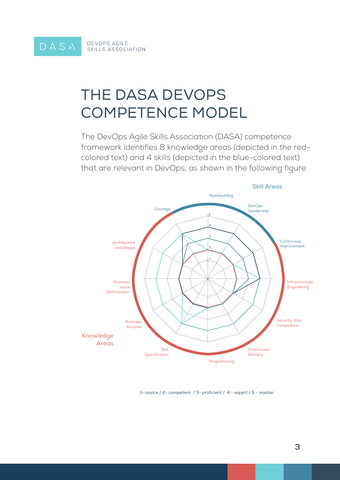

## The DASA DevOps Competence Model

The DevOps Agile Skills Association (DASA) competence framework identifies 8 knowledge areas (depicted in the redcolored text) and 4 skills (depicted in the blue-colored text) that are relevant in DevOps, as shown in the following figure.



1- novice / 2- competent / 3- proficient / 4 - expert / 5 - master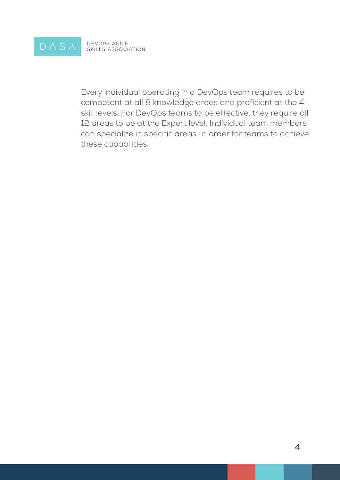

Every individual operating in a DevOps team requires to be competent at all 8 knowledge areas and proficient at the 4 skill levels. For DevOps teams to be effective, they require all 12 areas to be at the Expert level. Individual team members can specialize in specific areas, in order for teams to achieve these capabilities.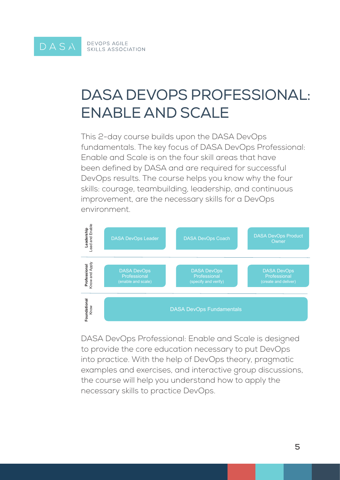# DASA DevOpS prOfeSSiOnAl: enAble AnD ScAle

This 2-day course builds upon the DASA DevOps fundamentals. The key focus of DASA DevOps Professional: Enable and Scale is on the four skill areas that have been defined by DASA and are required for successful DevOps results. The course helps you know why the four skills: courage, teambuilding, leadership, and continuous improvement, are the necessary skills for a DevOps environment.



DASA DevOps Professional: Enable and Scale is designed to provide the core education necessary to put DevOps into practice. With the help of DevOps theory, pragmatic examples and exercises, and interactive group discussions, the course will help you understand how to apply the necessary skills to practice DevOps.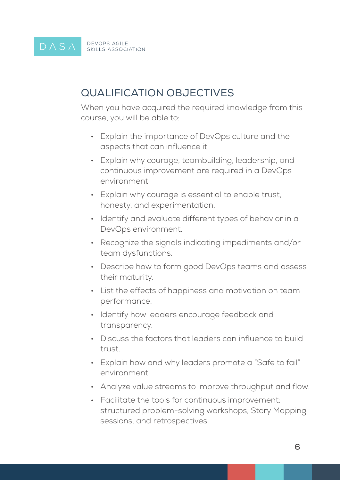#### DEVOPS AGILE<br>SKILLS ASSOCIATION DASA

### Qualification Objectives

When you have acquired the required knowledge from this course, you will be able to:

- Explain the importance of DevOps culture and the aspects that can influence it.
- Explain why courage, teambuilding, leadership, and continuous improvement are required in a DevOps environment.
- Explain why courage is essential to enable trust, honesty, and experimentation.
- Identify and evaluate different types of behavior in a DevOps environment.
- • Recognize the signals indicating impediments and/or team dysfunctions.
- Describe how to form good DevOps teams and assess their maturity.
- • List the effects of happiness and motivation on team performance.
- Identify how leaders encourage feedback and transparency.
- Discuss the factors that leaders can influence to build trust.
- Explain how and why leaders promote a "Safe to fail" environment.
- Analyze value streams to improve throughput and flow.
- Facilitate the tools for continuous improvement: structured problem-solving workshops, Story Mapping sessions, and retrospectives.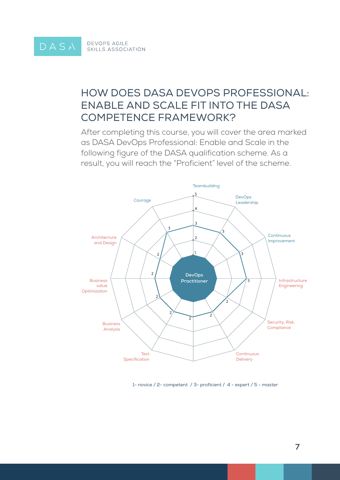### How does DASA DevOps Professional: Enable and Scale fit into the DASA Competence Framework?

After completing this course, you will cover the area marked as DASA DevOps Professional: Enable and Scale in the following figure of the DASA qualification scheme. As a result, you will reach the "Proficient" level of the scheme.



1- novice / 2- competent / 3- proficient / 4 - expert / 5 - master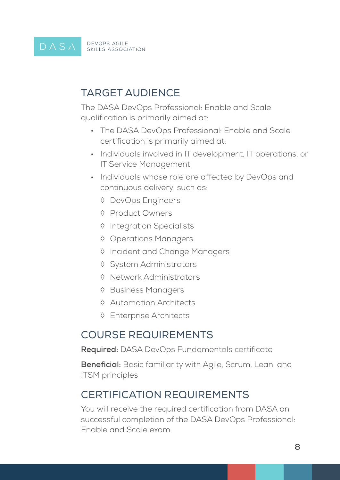#### **DEVOPS AGILE** DASA **SKILLS ASSOCIATION**

### Target Audience

The DASA DevOps Professional: Enable and Scale qualification is primarily aimed at:

- The DASA DevOps Professional: Enable and Scale certification is primarily aimed at:
- Individuals involved in IT development, IT operations, or IT Service Management
- Individuals whose role are affected by DevOps and continuous delivery, such as:
	- ◊ DevOps Engineers
	- ◊ Product Owners
	- ◊ Integration Specialists
	- ◊ Operations Managers
	- ◊ Incident and Change Managers
	- ◊ System Administrators
	- ◊ Network Administrators
	- ◊ Business Managers
	- ◊ Automation Architects
	- ◊ Enterprise Architects

### Course Requirements

**Required:** DASA DevOps Fundamentals certificate

**Beneficial:** Basic familiarity with Agile, Scrum, Lean, and ITSM principles

### Certification Requirements

You will receive the required certification from DASA on successful completion of the DASA DevOps Professional: Enable and Scale exam.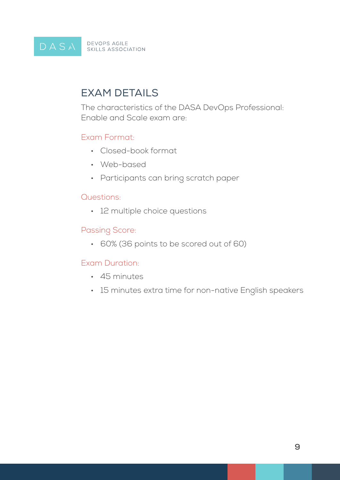#### DEVOPS AGILE<br>SKILLS ASSOCIATION DASA

## **EXAM DETAILS**

The characteristics of the DASA DevOps Professional: Enable and Scale exam are:

#### Exam Format:

- • Closed-book format
- Web-based
- Participants can bring scratch paper

#### Questions:

• 12 multiple choice questions

### Passing Score:

• 60% (36 points to be scored out of 60)

#### Exam Duration:

- • 45 minutes
- • 15 minutes extra time for non-native English speakers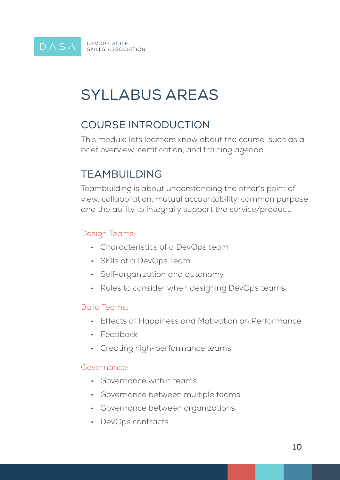# Syllabus Areas

## COURSE INTRODUCTION

This module lets learners know about the course, such as a brief overview, certification, and training agenda.

### TEAMBUILDING

Teambuilding is about understanding the other's point of view, collaboration, mutual accountability, common purpose, and the ability to integrally support the service/product.

#### Design Teams:

- • Characteristics of a DevOps team
- • Skills of a DevOps Team
- • Self-organization and autonomy
- Rules to consider when designing DevOps teams

#### Build Teams:

- Effects of Happiness and Motivation on Performance
- • Feedback
- Creating high-performance teams

#### Governance:

- • Governance within teams
- • Governance between multiple teams
- Governance between organizations
- DevOps contracts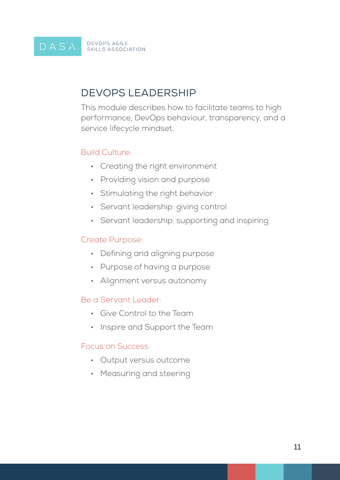#### DASA **DEVOPS AGILE** SKILLS ASSOCIATION

### DEVOPS LEADERSHIP

This module describes how to facilitate teams to high performance, DevOps behaviour, transparency, and a service lifecycle mindset.

#### Build Culture:

- • Creating the right environment
- Providing vision and purpose
- • Stimulating the right behavior
- Servant leadership: giving control
- Servant leadership: supporting and inspiring

#### Create Purpose:

- Defining and aligning purpose
- Purpose of having a purpose
- Alignment versus autonomy

#### Be a Servant Leader:

- • Give Control to the Team
- Inspire and Support the Team

#### Focus on Success:

- • Output versus outcome
- Measuring and steering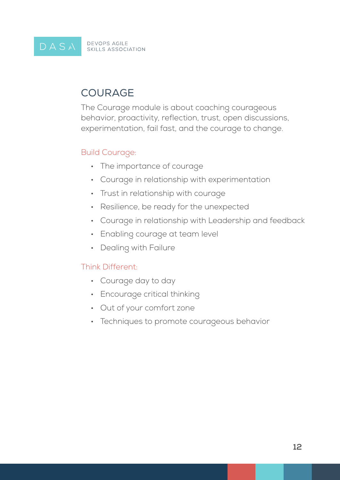#### DEVOPS AGILE<br>SKILLS ASSOCIATION DASA

## **COURAGE**

The Courage module is about coaching courageous behavior, proactivity, reflection, trust, open discussions, experimentation, fail fast, and the courage to change.

#### Build Courage:

- The importance of courage
- • Courage in relationship with experimentation
- Trust in relationship with courage
- Resilience, be ready for the unexpected
- • Courage in relationship with Leadership and feedback
- Enabling courage at team level
- Dealing with Failure

#### Think Different:

- • Courage day to day
- Encourage critical thinking
- • Out of your comfort zone
- Techniques to promote courageous behavior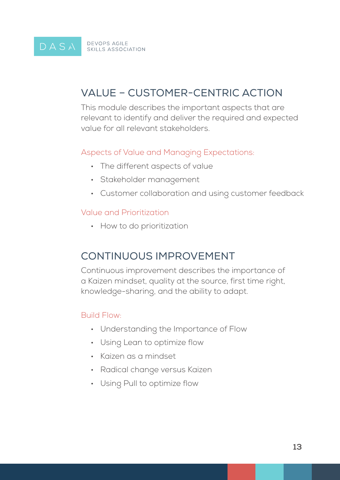DASA **DEVOPS AGILE** SKILLS ASSOCIATION

### VALUE – CUSTOMER-CENTRIC ACTION

This module describes the important aspects that are relevant to identify and deliver the required and expected value for all relevant stakeholders.

#### Aspects of Value and Managing Expectations:

- The different aspects of value
- • Stakeholder management
- • Customer collaboration and using customer feedback

#### Value and Prioritization

• How to do prioritization

### CONTINUOUS IMPROVEMENT

Continuous improvement describes the importance of a Kaizen mindset, quality at the source, first time right, knowledge-sharing, and the ability to adapt.

#### Build Flow:

- • Understanding the Importance of Flow
- Using Lean to optimize flow
- • Kaizen as a mindset
- Radical change versus Kaizen
- Using Pull to optimize flow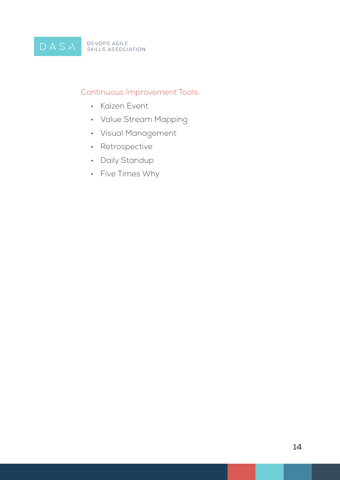### Continuous Improvement Tools:

- • Kaizen Event
- • Value Stream Mapping
- • Visual Management
- • Retrospective
- Daily Standup
- • Five Times Why